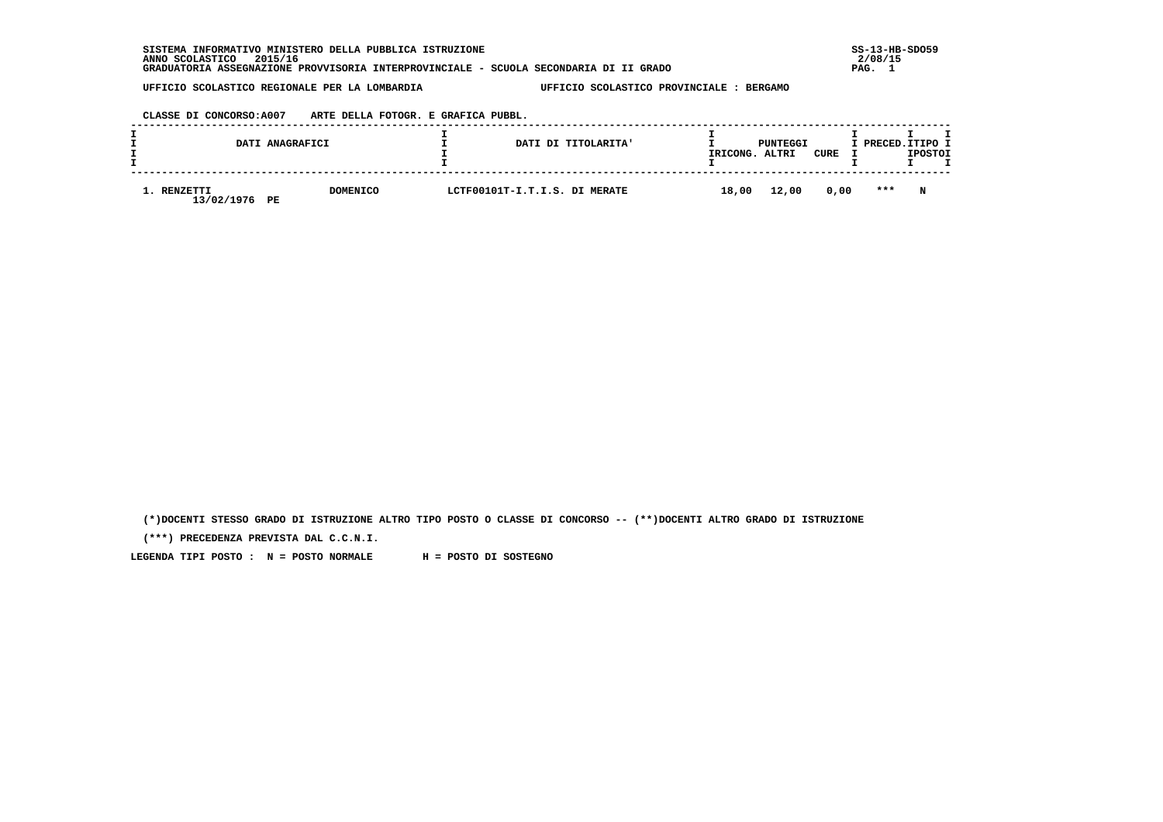**SISTEMA INFORMATIVO MINISTERO DELLA PUBBLICA ISTRUZIONE SS-13-HB-SDO59 ANNO SCOLASTICO 2015/16 2/08/15 GRADUATORIA ASSEGNAZIONE PROVVISORIA INTERPROVINCIALE - SCUOLA SECONDARIA DI II GRADO PAG. 1**

 **UFFICIO SCOLASTICO REGIONALE PER LA LOMBARDIA UFFICIO SCOLASTICO PROVINCIALE : BERGAMO**

 **CLASSE DI CONCORSO:A007 ARTE DELLA FOTOGR. E GRAFICA PUBBL.**

|                          | DATI ANAGRAFICI       | DATI DI TITOLARITA'           | IRICONG. | PUNTEGGI<br>ALTRI | CURE | I PRECED. ITIPO I | <b>IPOSTOI</b> |  |
|--------------------------|-----------------------|-------------------------------|----------|-------------------|------|-------------------|----------------|--|
| . RENZETTI<br>13/02/1976 | <b>DOMENICO</b><br>PE | LCTF00101T-I.T.I.S. DI MERATE | 18,00    | 12,00             | 0,00 | ***               | N              |  |

 **(\*)DOCENTI STESSO GRADO DI ISTRUZIONE ALTRO TIPO POSTO O CLASSE DI CONCORSO -- (\*\*)DOCENTI ALTRO GRADO DI ISTRUZIONE**

 **(\*\*\*) PRECEDENZA PREVISTA DAL C.C.N.I.**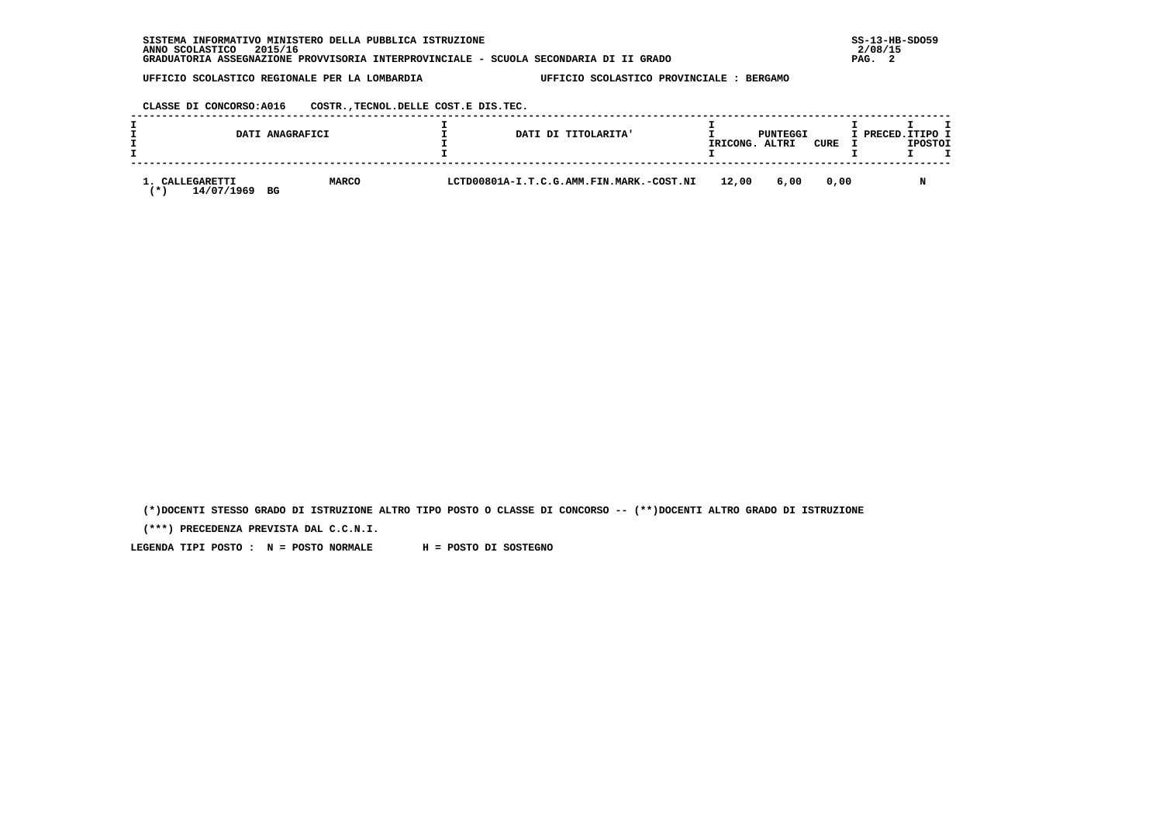| INFORMATIVO MINISTERO DELLA PUBBLICA ISTRUZIONE<br><b>SISTEMA</b>                     | $SS-13-HE$ |
|---------------------------------------------------------------------------------------|------------|
| 2015/16<br>ANNO SCOLASTICO                                                            | 2/08/15    |
| GRADUATORIA ASSEGNAZIONE PROVVISORIA INTERPROVINCIALE - SCUOLA SECONDARIA DI II GRADO | PAG.       |

 **CLASSE DI CONCORSO:A016 COSTR.,TECNOL.DELLE COST.E DIS.TEC.**

| DATI ANAGRAFICI                         |              | DATI DI TITOLARITA'                      | IRICONG. | PUNTEGGI<br>ALTRI | <b>CURE</b> | I PRECED.ITIPO I | <b>IPOSTOI</b> |  |
|-----------------------------------------|--------------|------------------------------------------|----------|-------------------|-------------|------------------|----------------|--|
| CALLEGARETTI<br>14/07/1969<br>BG<br>. ж | <b>MARCO</b> | LCTD00801A-I.T.C.G.AMM.FIN.MARK.-COST.NI | 12,00    | 6,00              | 0.00        |                  |                |  |

 **(\*)DOCENTI STESSO GRADO DI ISTRUZIONE ALTRO TIPO POSTO O CLASSE DI CONCORSO -- (\*\*)DOCENTI ALTRO GRADO DI ISTRUZIONE**

 **(\*\*\*) PRECEDENZA PREVISTA DAL C.C.N.I.**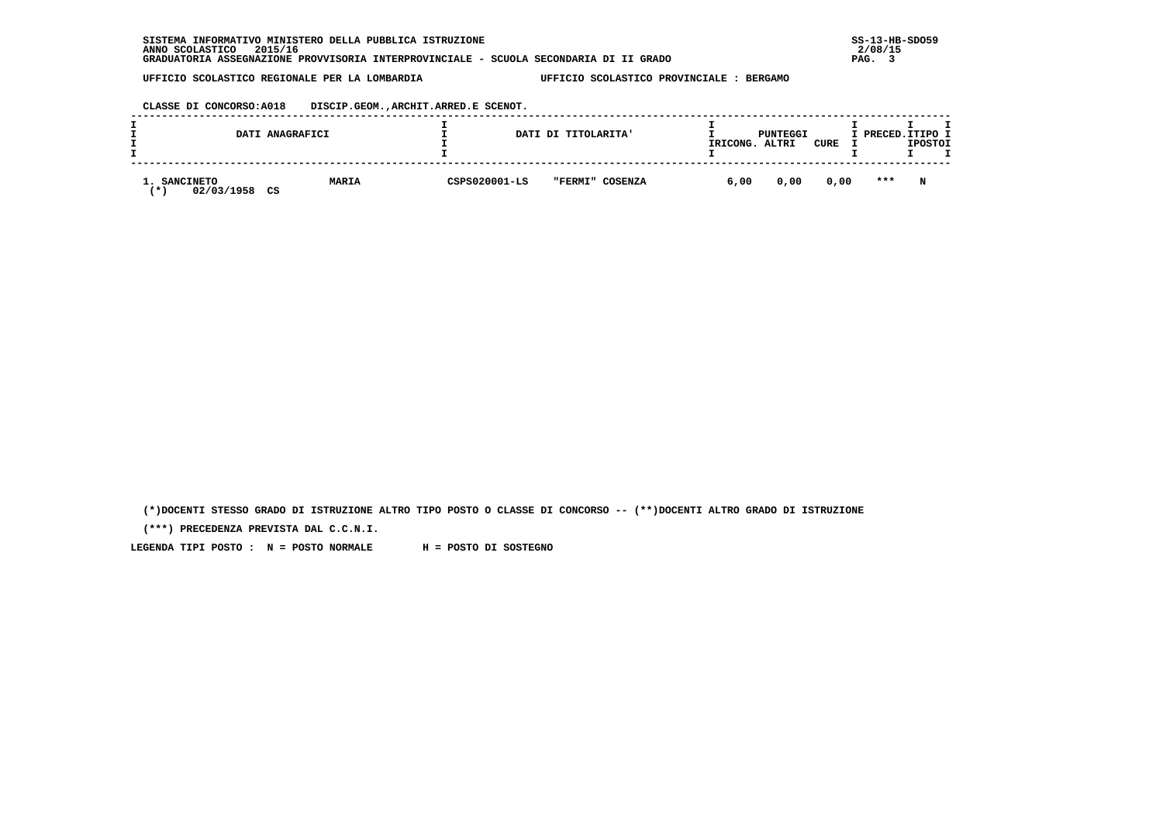| INFORMATIVO MINISTERO DELLA PUBBLICA ISTRUZIONE<br><b>SISTEMA</b>                     | $SS-13-HE$ |
|---------------------------------------------------------------------------------------|------------|
| 2015/16<br>ANNO SCOLASTICO                                                            | 2/08/15    |
| GRADUATORIA ASSEGNAZIONE PROVVISORIA INTERPROVINCIALE - SCUOLA SECONDARIA DI II GRADO | PAG.       |

 **CLASSE DI CONCORSO:A018 DISCIP.GEOM.,ARCHIT.ARRED.E SCENOT.**

|                                           | DATI ANAGRAFICI    |               | DATI DI TITOLARITA' | IRICONG. | PUNTEGGI<br>ALTRI | CURE | I PRECED.ITIPO I | <b>IPOSTOI</b> |  |
|-------------------------------------------|--------------------|---------------|---------------------|----------|-------------------|------|------------------|----------------|--|
| <b>SANCINETO</b><br>02/03/1958<br>$\star$ | <b>MARIA</b><br>CS | CSPS020001-LS | "FERMI" COSENZA     | 6,00     | 0,00              | 0,00 | $***$            | N              |  |

 **(\*)DOCENTI STESSO GRADO DI ISTRUZIONE ALTRO TIPO POSTO O CLASSE DI CONCORSO -- (\*\*)DOCENTI ALTRO GRADO DI ISTRUZIONE**

 **(\*\*\*) PRECEDENZA PREVISTA DAL C.C.N.I.**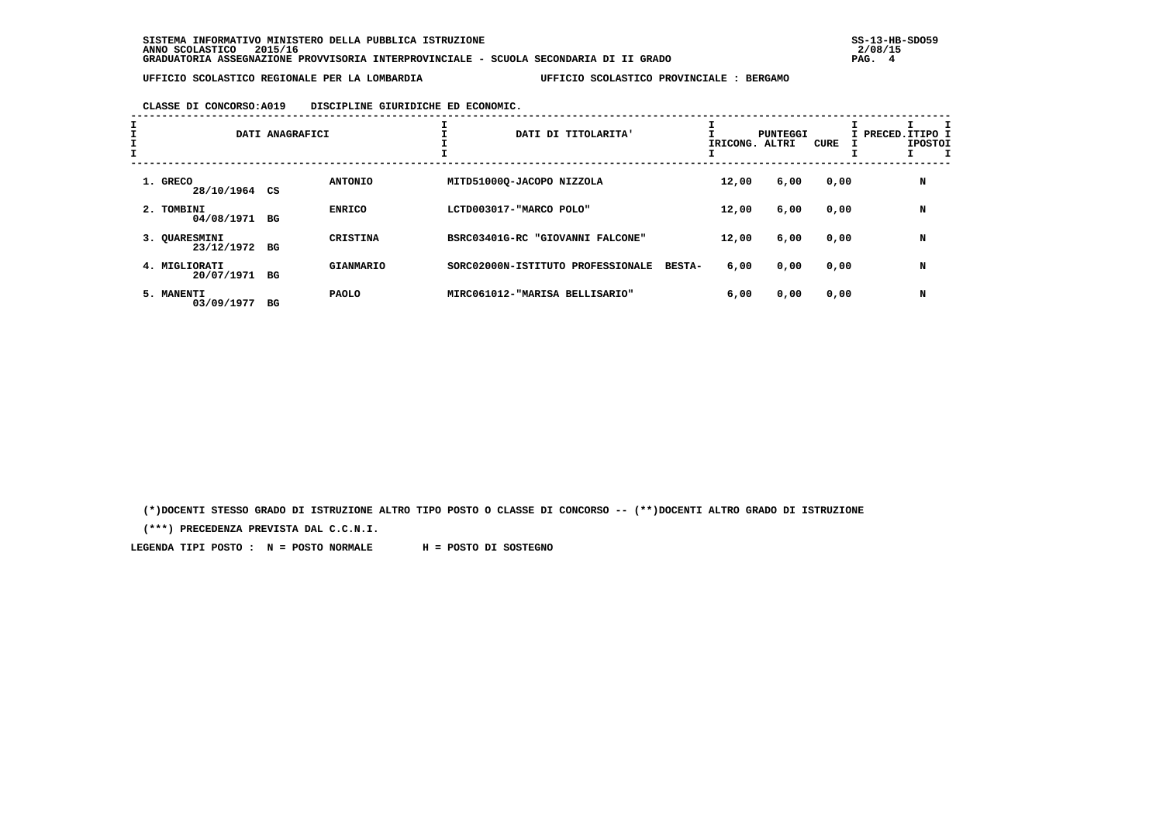# **CLASSE DI CONCORSO:A019 DISCIPLINE GIURIDICHE ED ECONOMIC.**

| I<br>$\mathbf{I}$ |                                | DATI ANAGRAFICI |                  | ÷.<br>DATI DI TITOLARITA'         |               | IRICONG. ALTRI | PUNTEGGI | CURE | I PRECED.ITIPO 1<br><b>IPOSTOI</b> |
|-------------------|--------------------------------|-----------------|------------------|-----------------------------------|---------------|----------------|----------|------|------------------------------------|
|                   | 1. GRECO<br>28/10/1964 CS      |                 | <b>ANTONIO</b>   | MITD51000Q-JACOPO NIZZOLA         |               | 12,00          | 6,00     | 0,00 | N                                  |
|                   | 2. TOMBINI<br>04/08/1971 BG    |                 | <b>ENRICO</b>    | LCTD003017-"MARCO POLO"           |               | 12,00          | 6,00     | 0,00 | N                                  |
|                   | 3. OUARESMINI<br>23/12/1972 BG |                 | <b>CRISTINA</b>  | BSRC03401G-RC "GIOVANNI FALCONE"  |               | 12,00          | 6,00     | 0,00 | N                                  |
|                   | 4. MIGLIORATI<br>20/07/1971    | BG              | <b>GIANMARIO</b> | SORC02000N-ISTITUTO PROFESSIONALE | <b>BESTA-</b> | 6,00           | 0,00     | 0,00 | N                                  |
|                   | 5. MANENTI<br>03/09/1977       | вG              | <b>PAOLO</b>     | MIRC061012-"MARISA BELLISARIO"    |               | 6,00           | 0,00     | 0,00 | N                                  |

 **(\*)DOCENTI STESSO GRADO DI ISTRUZIONE ALTRO TIPO POSTO O CLASSE DI CONCORSO -- (\*\*)DOCENTI ALTRO GRADO DI ISTRUZIONE**

 **(\*\*\*) PRECEDENZA PREVISTA DAL C.C.N.I.**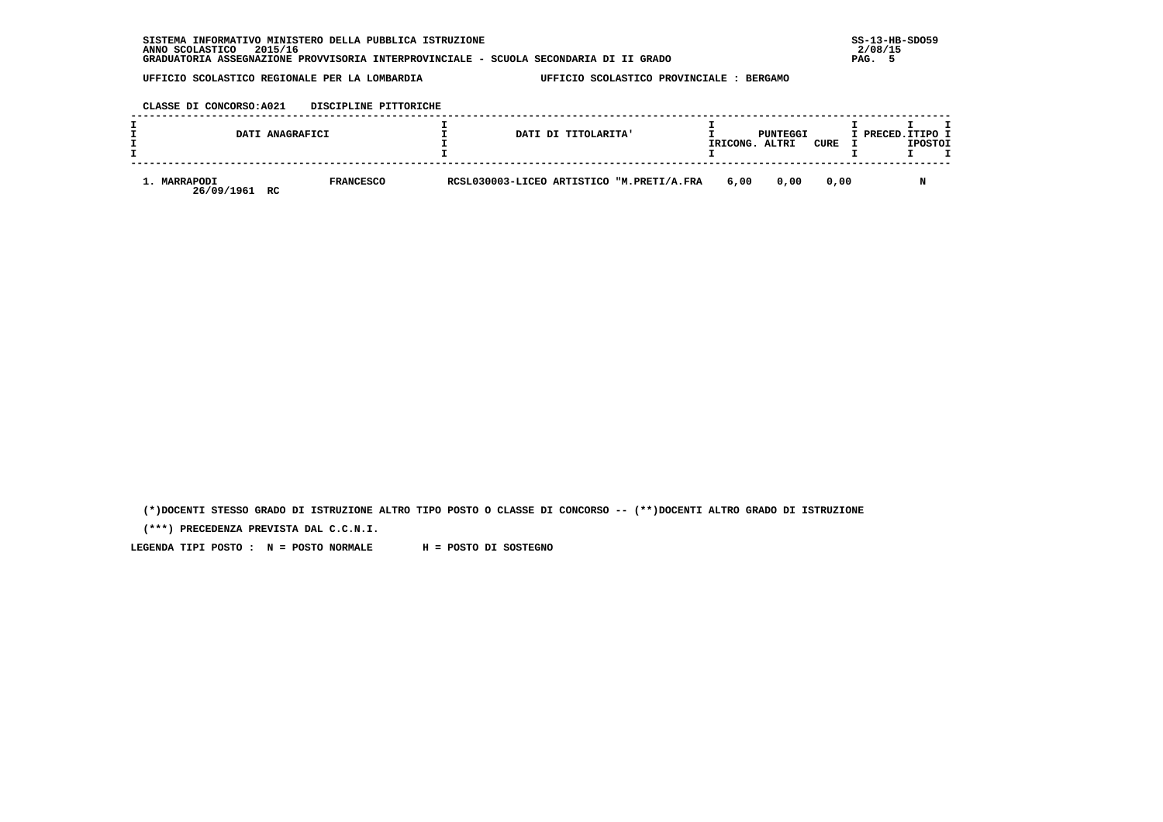| INFORMATIVO MINISTERO DELLA PUBBLICA ISTRUZIONE<br><b>SISTEMA</b>                     | $SS-13-HE$ |
|---------------------------------------------------------------------------------------|------------|
| 2015/16<br>ANNO SCOLASTICO                                                            | 2/08/15    |
| GRADUATORIA ASSEGNAZIONE PROVVISORIA INTERPROVINCIALE - SCUOLA SECONDARIA DI II GRADO | PAG.       |

 **CLASSE DI CONCORSO:A021 DISCIPLINE PITTORICHE**

|                                  | DATI ANAGRAFICI  | DATI DI TITOLARITA'                       | IRICONG. | PUNTEGGI<br>ALTRI | CURE | I PRECED.ITIPO 1 | <b>IPOSTOI</b> |  |
|----------------------------------|------------------|-------------------------------------------|----------|-------------------|------|------------------|----------------|--|
| 1. MARRAPODI<br>26/09/1961<br>RC | <b>FRANCESCO</b> | RCSL030003-LICEO ARTISTICO "M.PRETI/A.FRA | 6,00     | 0.00              | 0.00 |                  |                |  |

 **(\*)DOCENTI STESSO GRADO DI ISTRUZIONE ALTRO TIPO POSTO O CLASSE DI CONCORSO -- (\*\*)DOCENTI ALTRO GRADO DI ISTRUZIONE**

 **(\*\*\*) PRECEDENZA PREVISTA DAL C.C.N.I.**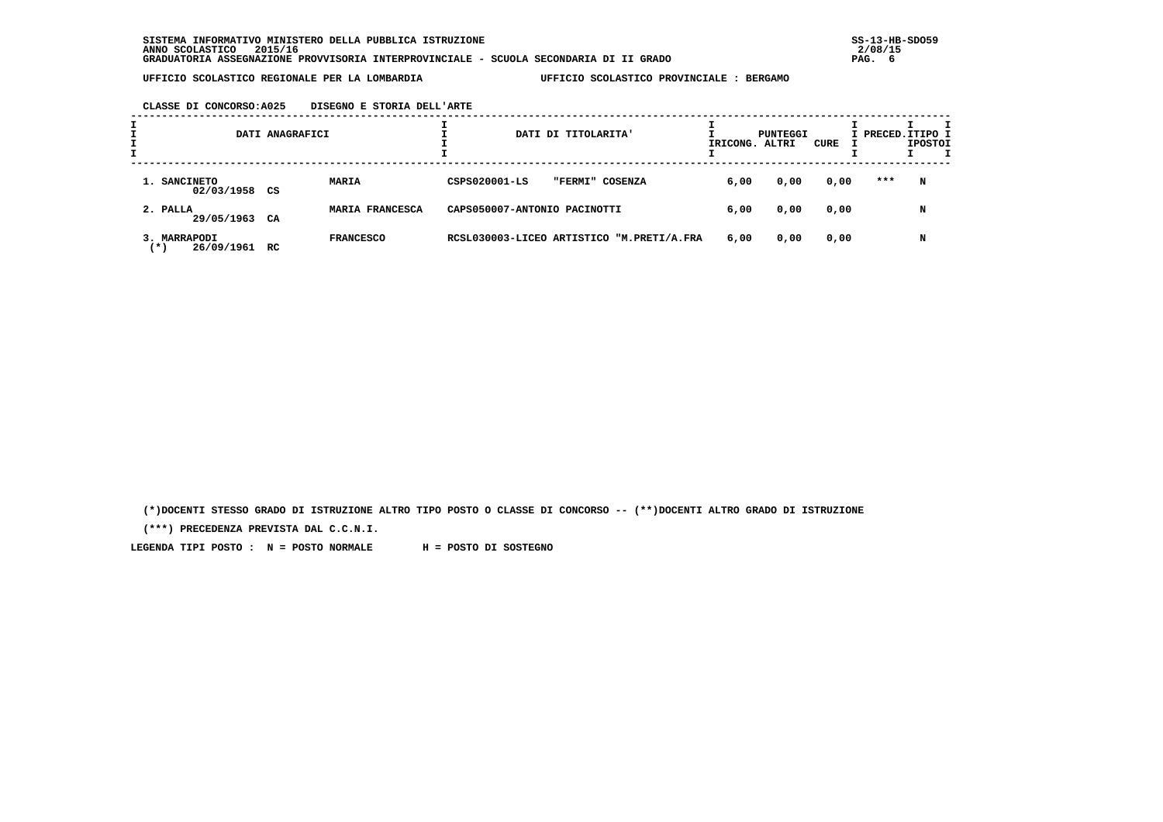## **CLASSE DI CONCORSO:A025 DISEGNO E STORIA DELL'ARTE**

|                                   | DATI ANAGRAFICI |                  |                              | DATI DI TITOLARITA' |                                           | IRICONG. ALTRI | PUNTEGGI | CURE | I PRECED. ITIPO I | <b>IPOSTOI</b> |  |
|-----------------------------------|-----------------|------------------|------------------------------|---------------------|-------------------------------------------|----------------|----------|------|-------------------|----------------|--|
| 1. SANCINETO<br>02/03/1958 CS     |                 | MARIA            | CSPS020001-LS                | "FERMI"             | COSENZA                                   | 6,00           | 0,00     | 0,00 | ***               | N              |  |
| 2. PALLA<br>29/05/1963 CA         |                 | MARIA FRANCESCA  | CAPS050007-ANTONIO PACINOTTI |                     |                                           | 6,00           | 0,00     | 0,00 |                   | N              |  |
| 3. MARRAPODI<br>26/09/1961<br>(*) | RC              | <b>FRANCESCO</b> |                              |                     | RCSL030003-LICEO ARTISTICO "M.PRETI/A.FRA | 6,00           | 0,00     | 0,00 |                   | N              |  |

 **(\*)DOCENTI STESSO GRADO DI ISTRUZIONE ALTRO TIPO POSTO O CLASSE DI CONCORSO -- (\*\*)DOCENTI ALTRO GRADO DI ISTRUZIONE**

 **(\*\*\*) PRECEDENZA PREVISTA DAL C.C.N.I.**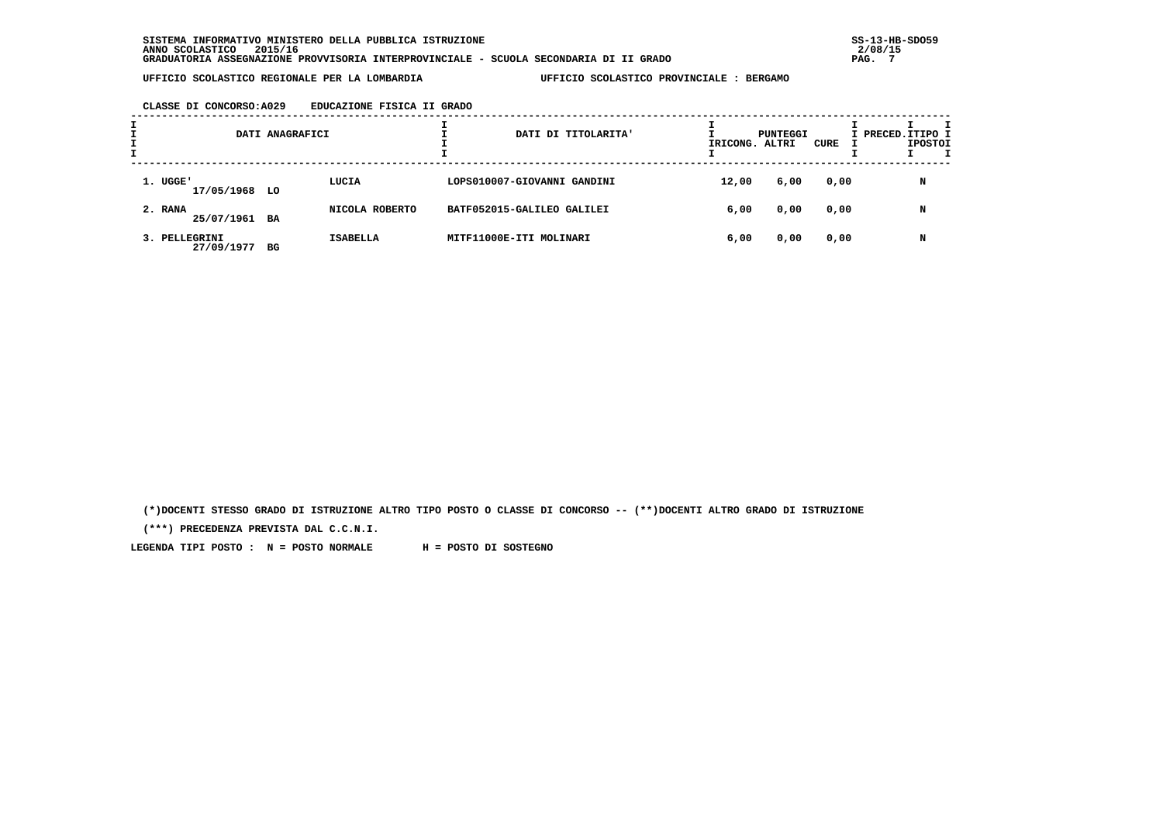# **CLASSE DI CONCORSO:A029 EDUCAZIONE FISICA II GRADO**

| л. |                             | DATI ANAGRAFICI |                 | DATI DI TITOLARITA'         | IRICONG. ALTRI | PUNTEGGI | CURE | I PRECED. ITIPO I | <b>IPOSTOI</b> |  |
|----|-----------------------------|-----------------|-----------------|-----------------------------|----------------|----------|------|-------------------|----------------|--|
|    | 1. UGGE'<br>17/05/1968 LO   |                 | LUCIA           | LOPS010007-GIOVANNI GANDINI | 12,00          | 6,00     | 0,00 |                   | N              |  |
|    | 2. RANA<br>25/07/1961 BA    |                 | NICOLA ROBERTO  | BATF052015-GALILEO GALILEI  | 6,00           | 0,00     | 0,00 |                   | N              |  |
|    | 3. PELLEGRINI<br>27/09/1977 | BG              | <b>ISABELLA</b> | MITF11000E-ITI MOLINARI     | 6,00           | 0,00     | 0,00 |                   | N              |  |

 **(\*)DOCENTI STESSO GRADO DI ISTRUZIONE ALTRO TIPO POSTO O CLASSE DI CONCORSO -- (\*\*)DOCENTI ALTRO GRADO DI ISTRUZIONE**

 **(\*\*\*) PRECEDENZA PREVISTA DAL C.C.N.I.**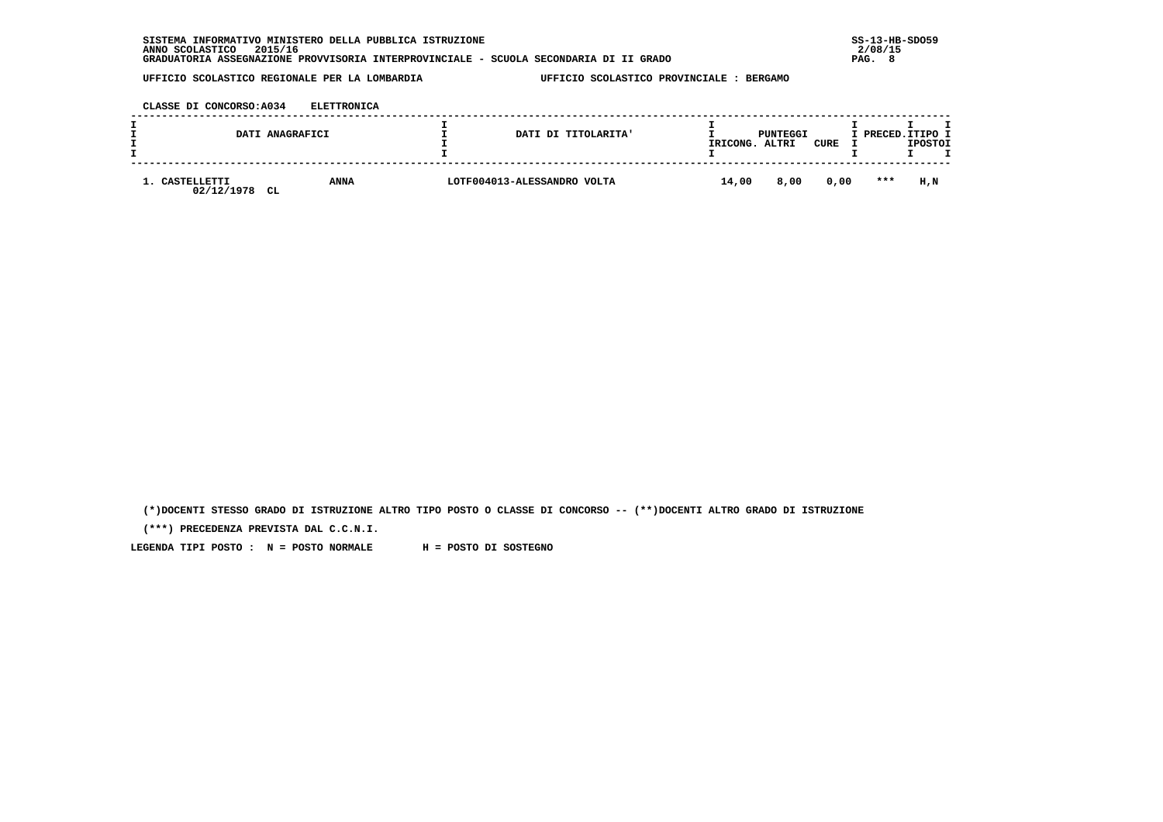| SISTEMA INFORMATIVO MINISTERO DELLA PUBBLICA ISTRUZIONE                               | $SS-13-HE$ |
|---------------------------------------------------------------------------------------|------------|
| 2015/16<br>ANNO SCOLASTICO                                                            | 2/08/15    |
| GRADUATORIA ASSEGNAZIONE PROVVISORIA INTERPROVINCIALE - SCUOLA SECONDARIA DI II GRADO | -8<br>PAG. |

 **CLASSE DI CONCORSO:A034 ELETTRONICA**

|                           | DATI ANAGRAFICI          | DATI DI TITOLARITA'         | IRICONG. | PUNTEGGI<br>ALTRI | <b>CURE</b> |         | I PRECED.ITIPO I<br><b>IPOSTOI</b> |
|---------------------------|--------------------------|-----------------------------|----------|-------------------|-------------|---------|------------------------------------|
| CASTELLETTI<br>02/12/1978 | <b>ANNA</b><br><b>CL</b> | LOTF004013-ALESSANDRO VOLTA | 14,00    | 8,00              | 0.00        | $* * *$ | H.N                                |

 **(\*)DOCENTI STESSO GRADO DI ISTRUZIONE ALTRO TIPO POSTO O CLASSE DI CONCORSO -- (\*\*)DOCENTI ALTRO GRADO DI ISTRUZIONE**

 **(\*\*\*) PRECEDENZA PREVISTA DAL C.C.N.I.**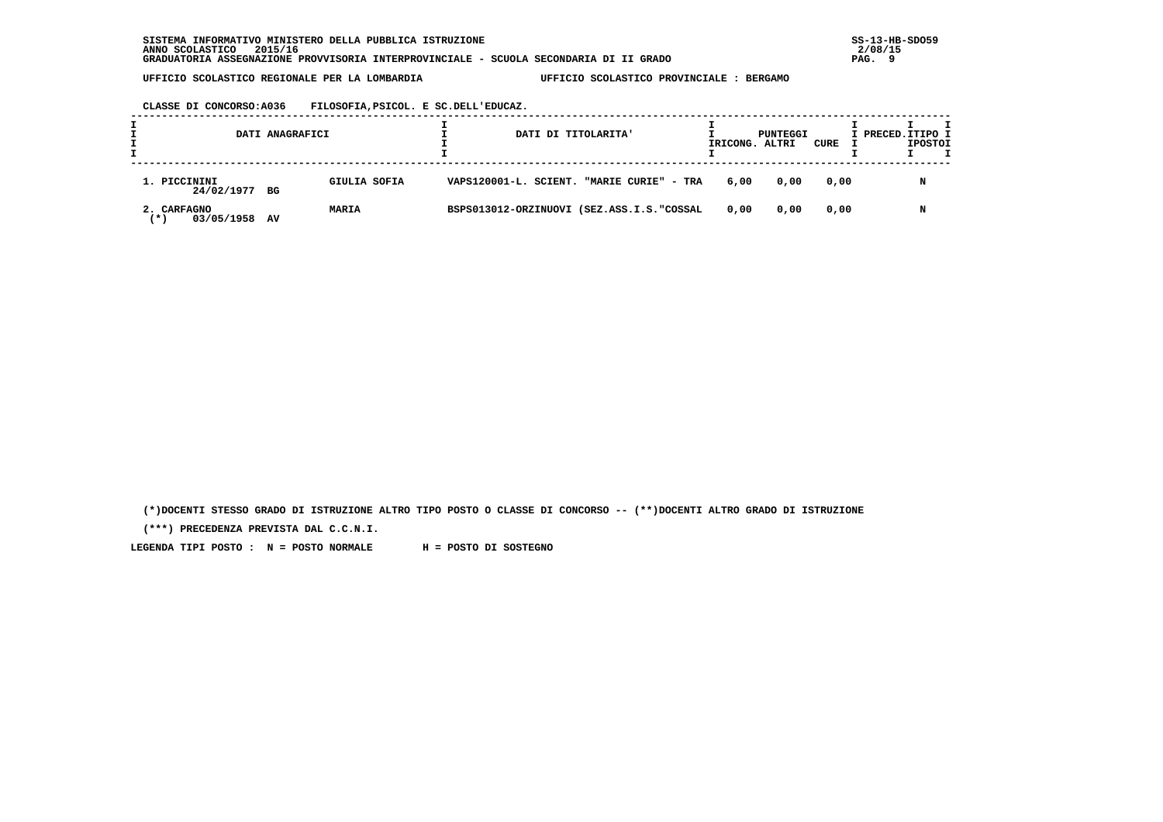**CLASSE DI CONCORSO:A036 FILOSOFIA,PSICOL. E SC.DELL'EDUCAZ.**

|                                   | DATI ANAGRAFICI    | DATI DI TITOLARITA'                       | IRICONG. ALTRI | PUNTEGGI | CURE | I PRECED. ITIPO I | <b>IPOSTOI</b> |  |
|-----------------------------------|--------------------|-------------------------------------------|----------------|----------|------|-------------------|----------------|--|
| 1. PICCININI<br>24/02/1977 BG     | GIULIA SOFIA       | VAPS120001-L. SCIENT. "MARIE CURIE" - TRA | 6,00           | 0,00     | 0,00 |                   | N              |  |
| 2. CARFAGNO<br>03/05/1958<br>(* ) | <b>MARIA</b><br>AV | BSPS013012-ORZINUOVI (SEZ.ASS.I.S."COSSAL | 0.00           | 0,00     | 0,00 |                   | N              |  |

 **(\*)DOCENTI STESSO GRADO DI ISTRUZIONE ALTRO TIPO POSTO O CLASSE DI CONCORSO -- (\*\*)DOCENTI ALTRO GRADO DI ISTRUZIONE**

 **(\*\*\*) PRECEDENZA PREVISTA DAL C.C.N.I.**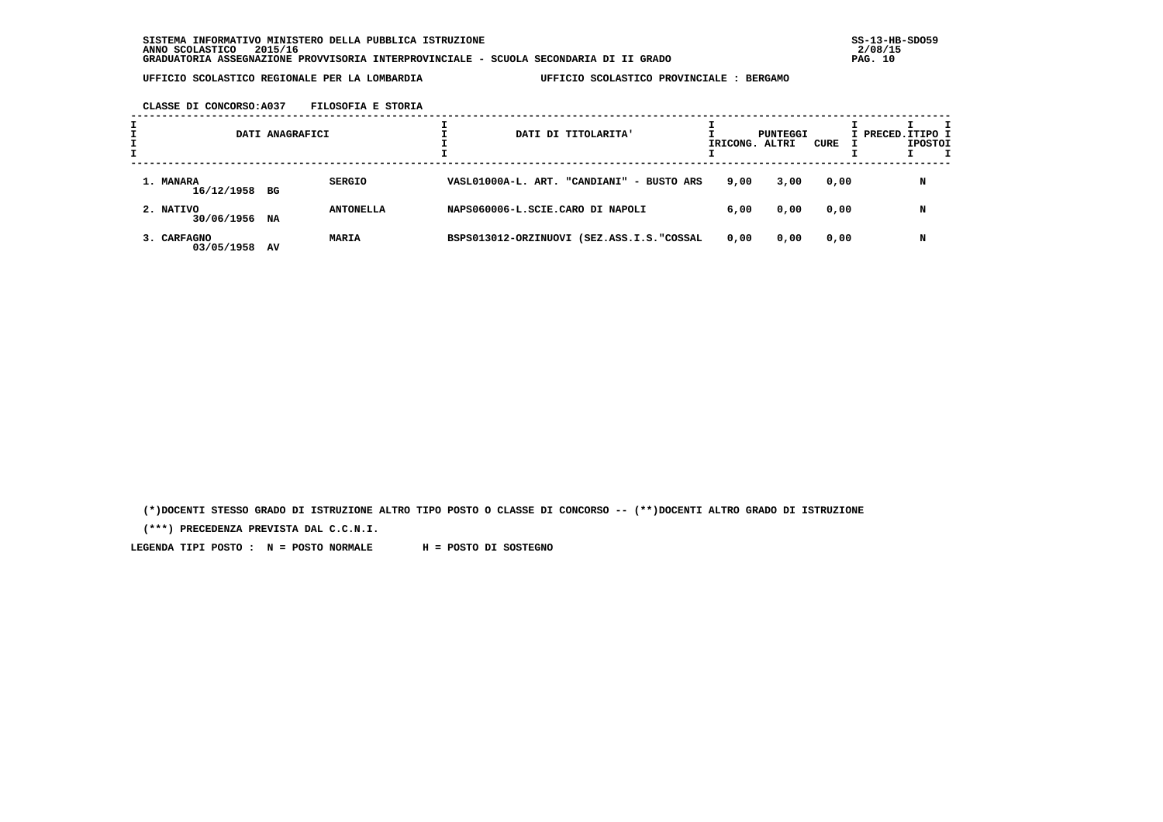**CLASSE DI CONCORSO:A037 FILOSOFIA E STORIA**

|                            | DATI ANAGRAFICI |                  |  | DATI DI TITOLARITA'                       | IRICONG. ALTRI | PUNTEGGI | CURE | I PRECED. ITIPO I | <b>IPOSTOI</b> |  |
|----------------------------|-----------------|------------------|--|-------------------------------------------|----------------|----------|------|-------------------|----------------|--|
| 1. MANARA<br>16/12/1958 BG |                 | <b>SERGIO</b>    |  | VASL01000A-L. ART. "CANDIANI" - BUSTO ARS | 9,00           | 3,00     | 0,00 |                   | N              |  |
| 2. NATIVO<br>30/06/1956    | NA              | <b>ANTONELLA</b> |  | NAPS060006-L.SCIE.CARO DI NAPOLI          | 6,00           | 0,00     | 0,00 |                   | N              |  |
| 3. CARFAGNO<br>03/05/1958  | AV              | <b>MARIA</b>     |  | BSPS013012-ORZINUOVI (SEZ.ASS.I.S."COSSAL | 0,00           | 0,00     | 0,00 |                   | N              |  |

 **(\*)DOCENTI STESSO GRADO DI ISTRUZIONE ALTRO TIPO POSTO O CLASSE DI CONCORSO -- (\*\*)DOCENTI ALTRO GRADO DI ISTRUZIONE**

 **(\*\*\*) PRECEDENZA PREVISTA DAL C.C.N.I.**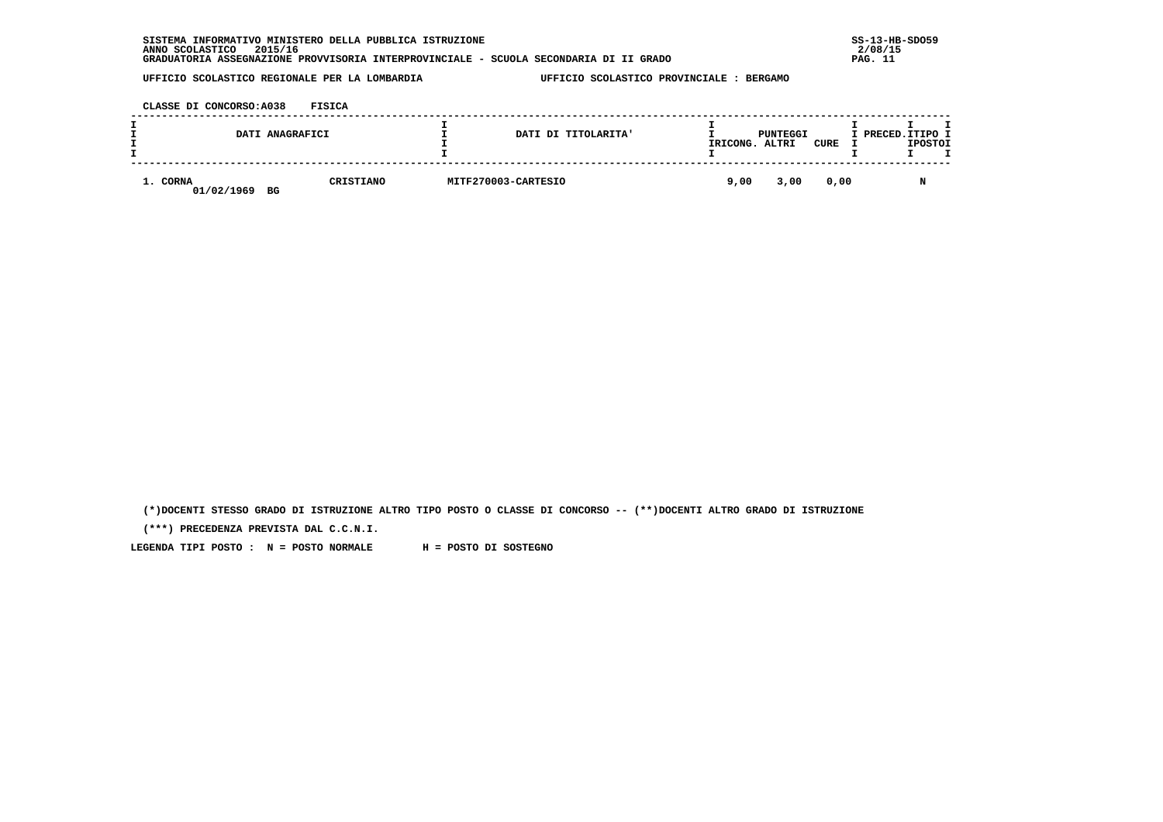|          | DATI ANAGRAFICI  |           | DATI DI TITOLARITA' | IRICONG. ALTRI | PUNTEGGI | CURE | I PRECED. ITIPO I | <b>IPOSTOI</b> |
|----------|------------------|-----------|---------------------|----------------|----------|------|-------------------|----------------|
| 1. CORNA | 01/02/1969<br>BG | CRISTIANO | MITF270003-CARTESIO | 9,00           | 3,00     | 0,00 |                   |                |

 **(\*)DOCENTI STESSO GRADO DI ISTRUZIONE ALTRO TIPO POSTO O CLASSE DI CONCORSO -- (\*\*)DOCENTI ALTRO GRADO DI ISTRUZIONE**

 **(\*\*\*) PRECEDENZA PREVISTA DAL C.C.N.I.**

 **LEGENDA TIPI POSTO : N = POSTO NORMALE H = POSTO DI SOSTEGNO**

 **UFFICIO SCOLASTICO REGIONALE PER LA LOMBARDIA UFFICIO SCOLASTICO PROVINCIALE : BERGAMO**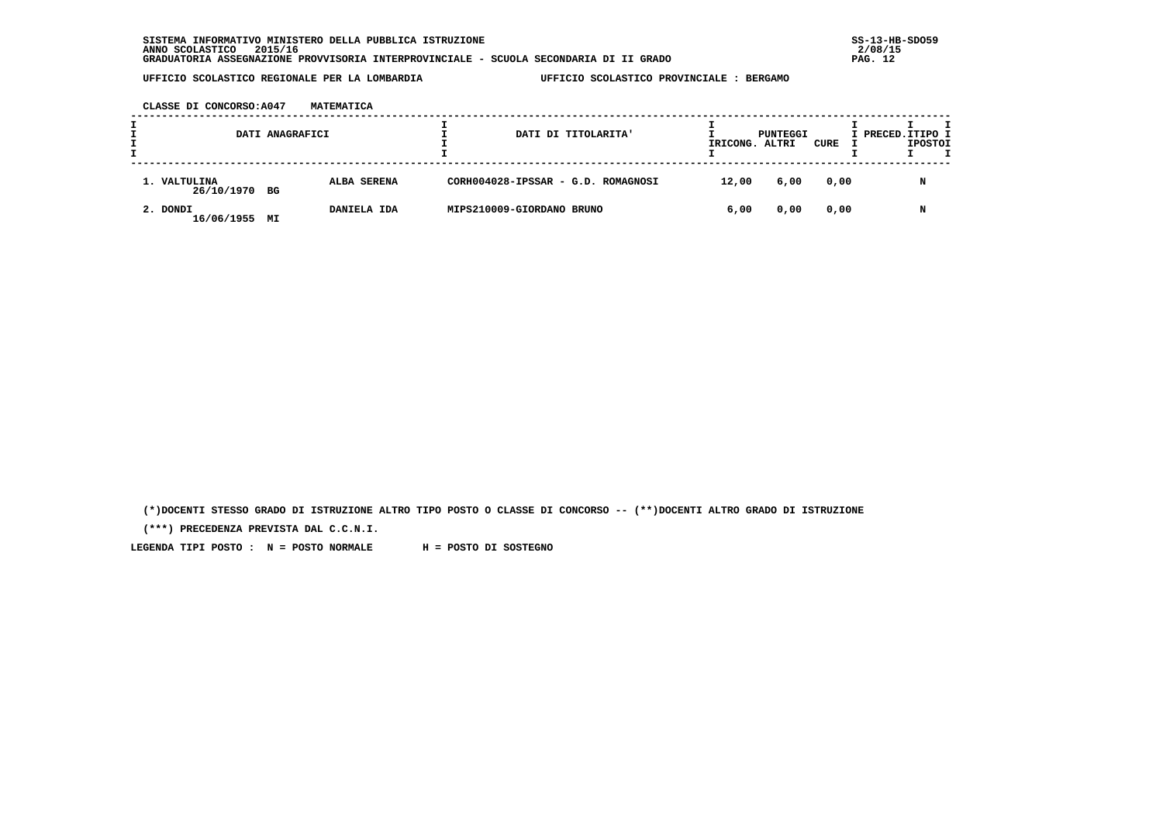**CLASSE DI CONCORSO:A047 MATEMATICA**

|                               | DATI ANAGRAFICI |             |                           | DATI DI TITOLARITA'                | IRICONG. ALTRI | PUNTEGGI | CURE | I PRECED.ITIPO I | <b>IPOSTOI</b> |  |
|-------------------------------|-----------------|-------------|---------------------------|------------------------------------|----------------|----------|------|------------------|----------------|--|
| 1. VALTULINA<br>26/10/1970 BG |                 | ALBA SERENA |                           | CORH004028-IPSSAR - G.D. ROMAGNOSI | 12,00          | 6,00     | 0,00 |                  | N              |  |
| 2. DONDI<br>16/06/1955        | МI              | DANIELA IDA | MIPS210009-GIORDANO BRUNO |                                    | 6,00           | 0,00     | 0,00 |                  | N              |  |

 **(\*)DOCENTI STESSO GRADO DI ISTRUZIONE ALTRO TIPO POSTO O CLASSE DI CONCORSO -- (\*\*)DOCENTI ALTRO GRADO DI ISTRUZIONE**

 **(\*\*\*) PRECEDENZA PREVISTA DAL C.C.N.I.**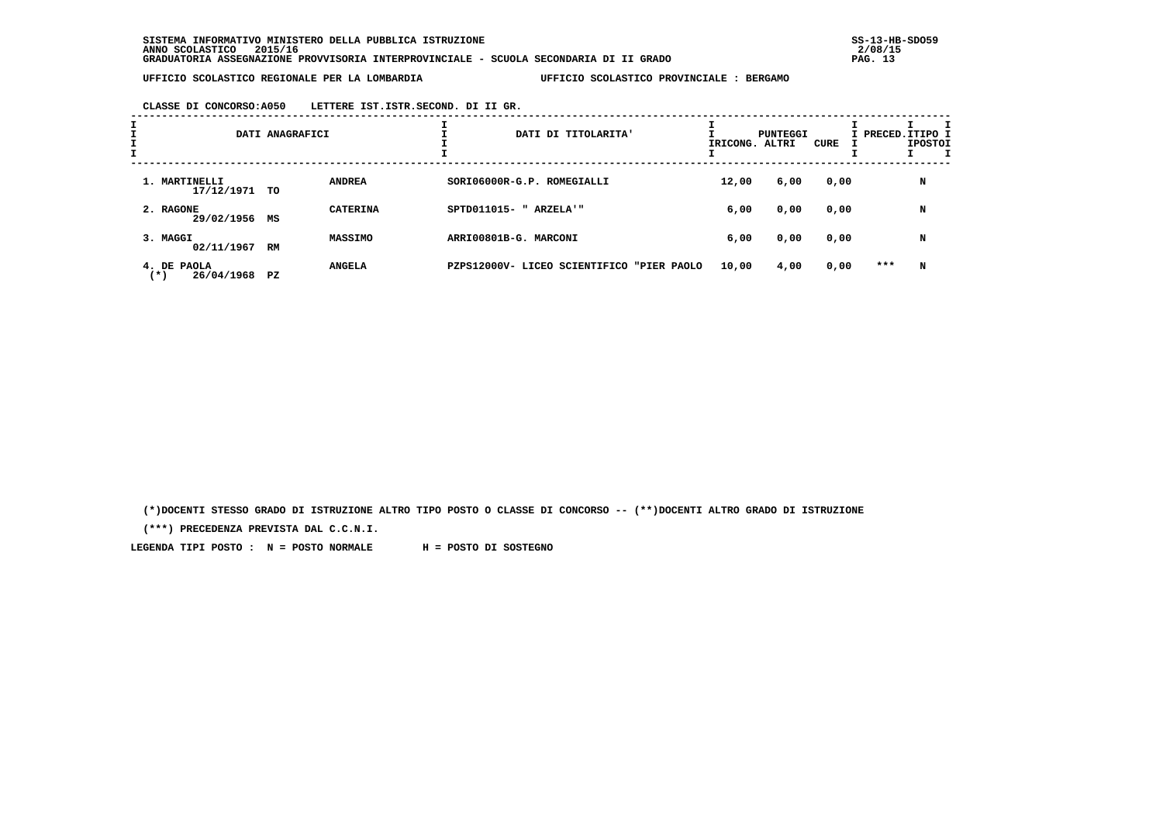**CLASSE DI CONCORSO:A050 LETTERE IST.ISTR.SECOND. DI II GR.**

| I | DATI ANAGRAFICI                    |    |                 |  | IRICONG. ALTRI                            | PUNTEGGI | CURE |      | т<br>I PRECED. ITIPO I<br><b>IPOSTOI</b> |   |
|---|------------------------------------|----|-----------------|--|-------------------------------------------|----------|------|------|------------------------------------------|---|
|   | 1. MARTINELLI<br>17/12/1971        | TO | <b>ANDREA</b>   |  | SORI06000R-G.P. ROMEGIALLI                | 12,00    | 6,00 | 0,00 |                                          | N |
|   | 2. RAGONE<br>29/02/1956            | MS | <b>CATERINA</b> |  | SPTD011015- " ARZELA'"                    | 6,00     | 0,00 | 0,00 |                                          | N |
|   | 3. MAGGI<br>02/11/1967 RM          |    | <b>MASSIMO</b>  |  | ARRI00801B-G. MARCONI                     | 6,00     | 0,00 | 0,00 |                                          | N |
|   | 4. DE PAOLA<br>26/04/1968<br>( * ) | PZ | <b>ANGELA</b>   |  | PZPS12000V- LICEO SCIENTIFICO "PIER PAOLO | 10,00    | 4,00 | 0,00 | ***                                      | N |

 **(\*)DOCENTI STESSO GRADO DI ISTRUZIONE ALTRO TIPO POSTO O CLASSE DI CONCORSO -- (\*\*)DOCENTI ALTRO GRADO DI ISTRUZIONE**

 **(\*\*\*) PRECEDENZA PREVISTA DAL C.C.N.I.**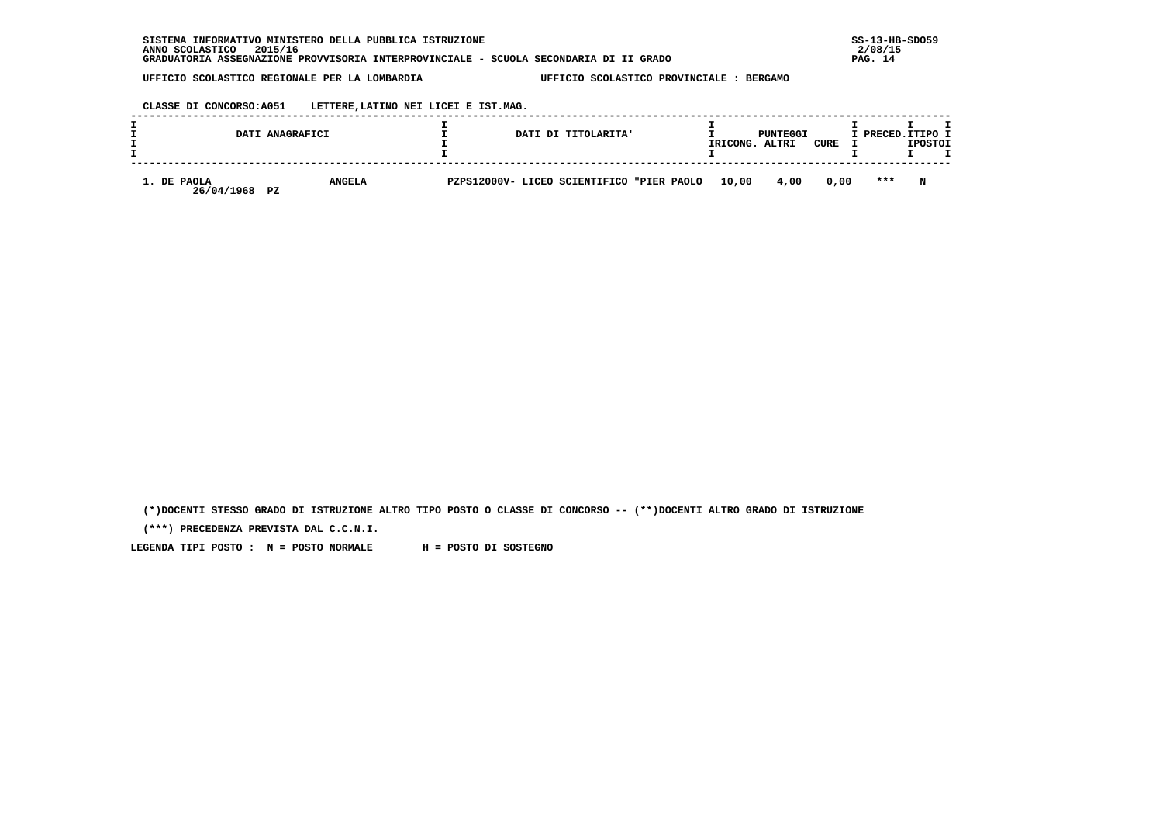| INFORMATIVO MINISTERO DELLA PUBBLICA ISTRUZIONE<br><b>SISTEMA</b>                     | $SS-13-HE$ |
|---------------------------------------------------------------------------------------|------------|
| 2015/16<br>ANNO SCOLASTICO                                                            | 2/08/15    |
| GRADUATORIA ASSEGNAZIONE PROVVISORIA INTERPROVINCIALE - SCUOLA SECONDARIA DI II GRADO | PAG. 14    |

 **CLASSE DI CONCORSO:A051 LETTERE,LATINO NEI LICEI E IST.MAG.**

|                                        | DATI ANAGRAFICI |  | DATI DI TITOLARITA'                       | IRICONG. | PUNTEGGI<br>ALTRI | CURE | I PRECED. ITIPO I | <b>IPOSTOI</b> |  |
|----------------------------------------|-----------------|--|-------------------------------------------|----------|-------------------|------|-------------------|----------------|--|
| 1. DE PAOLA<br>26/04/1968<br><b>PZ</b> | <b>ANGELA</b>   |  | PZPS12000V- LICEO SCIENTIFICO "PIER PAOLO | 10,00    | 4,00              | 0.00 | $***$             | N              |  |

 **(\*)DOCENTI STESSO GRADO DI ISTRUZIONE ALTRO TIPO POSTO O CLASSE DI CONCORSO -- (\*\*)DOCENTI ALTRO GRADO DI ISTRUZIONE**

 **(\*\*\*) PRECEDENZA PREVISTA DAL C.C.N.I.**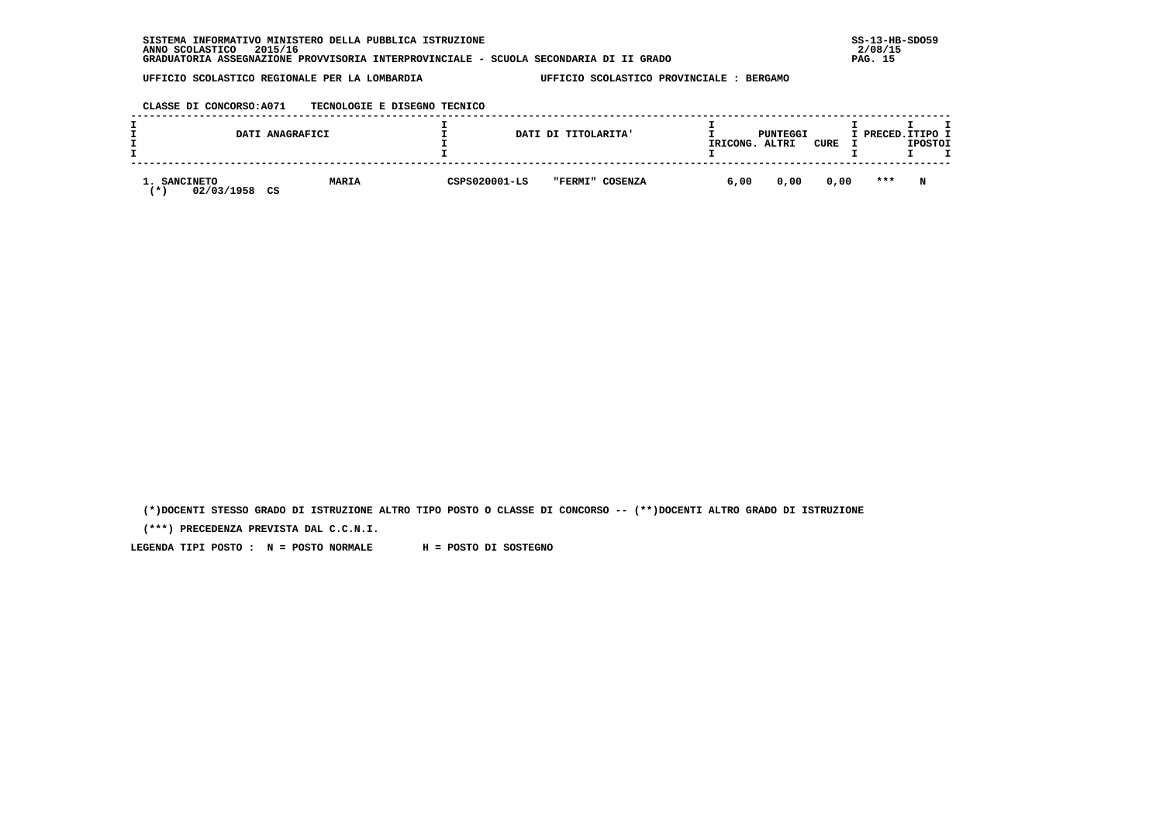| . INFORMATIVO MINISTERO DELLA PUBBLICA ISTRUZIONE<br><b>SISTEMA</b>                   | $SS-13-HE$ |
|---------------------------------------------------------------------------------------|------------|
| 2015/16<br>ANNO SCOLASTICO                                                            | 2/08/15    |
| GRADUATORIA ASSEGNAZIONE PROVVISORIA INTERPROVINCIALE - SCUOLA SECONDARIA DI II GRADO | PAG. 15    |

 **CLASSE DI CONCORSO:A071 TECNOLOGIE E DISEGNO TECNICO**

| DATI ANAGRAFICI                         |              |               | DATI DI TITOLARITA' | IRICONG. | PUNTEGGI<br>ALTRI | CURE | I PRECED. ITIPO I | <b>IPOSTOI</b> |  |
|-----------------------------------------|--------------|---------------|---------------------|----------|-------------------|------|-------------------|----------------|--|
| 1. SANCINETO<br>02/03/1958<br>CS<br>. ж | <b>MARIA</b> | CSPS020001-LS | "FERMI" COSENZA     | 6,00     | 0,00              | 0,00 | $* * *$           | N              |  |

 **(\*)DOCENTI STESSO GRADO DI ISTRUZIONE ALTRO TIPO POSTO O CLASSE DI CONCORSO -- (\*\*)DOCENTI ALTRO GRADO DI ISTRUZIONE**

 **(\*\*\*) PRECEDENZA PREVISTA DAL C.C.N.I.**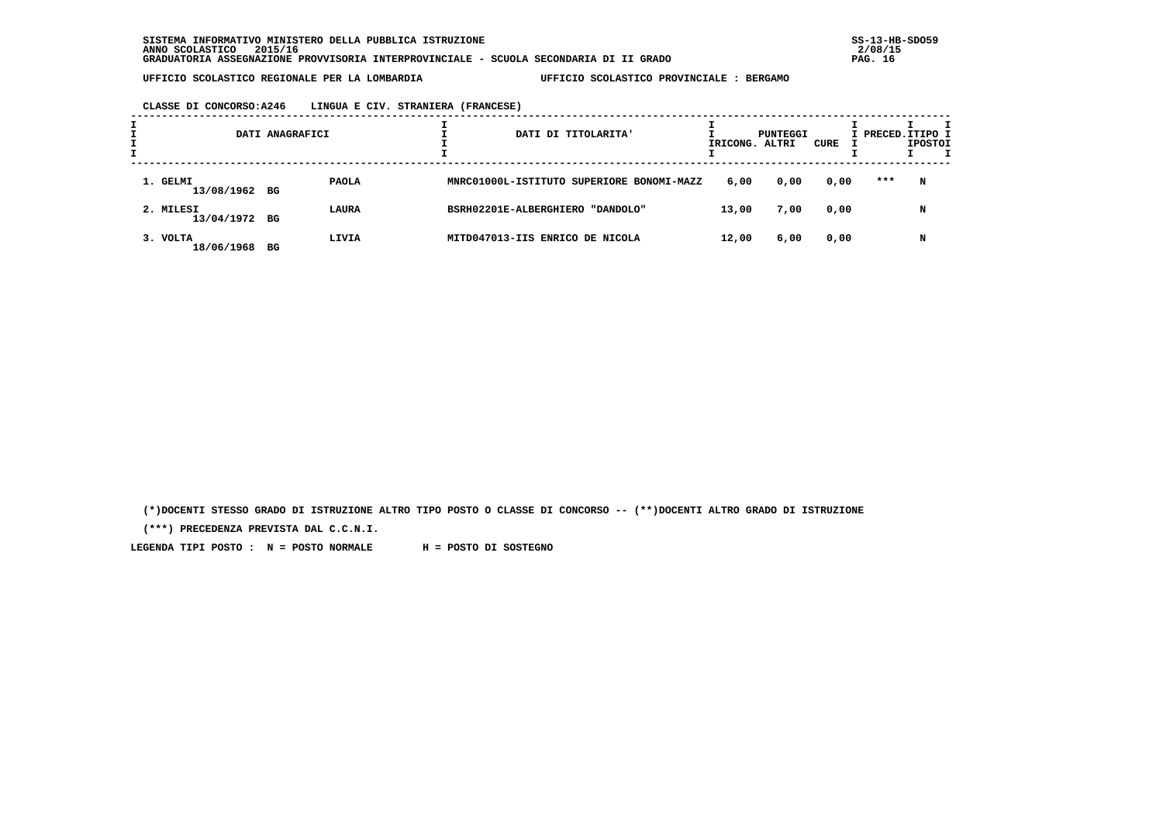**CLASSE DI CONCORSO:A246 LINGUA E CIV. STRANIERA (FRANCESE)**

|                            | DATI ANAGRAFICI | DATI DI TITOLARITA'                       | IRICONG. ALTRI | PUNTEGGI | CURE | I PRECED.ITIPO I | <b>IPOSTOI</b> |  |
|----------------------------|-----------------|-------------------------------------------|----------------|----------|------|------------------|----------------|--|
| 1. GELMI<br>13/08/1962 BG  | <b>PAOLA</b>    | MNRC01000L-ISTITUTO SUPERIORE BONOMI-MAZZ | 6,00           | 0,00     | 0,00 | ***              | N              |  |
| 2. MILESI<br>13/04/1972 BG | LAURA           | BSRH02201E-ALBERGHIERO "DANDOLO"          | 13,00          | 7,00     | 0,00 |                  | N              |  |
| 3. VOLTA<br>18/06/1968     | LIVIA<br>BG     | MITD047013-IIS ENRICO DE NICOLA           | 12,00          | 6,00     | 0,00 |                  | N              |  |

 **(\*)DOCENTI STESSO GRADO DI ISTRUZIONE ALTRO TIPO POSTO O CLASSE DI CONCORSO -- (\*\*)DOCENTI ALTRO GRADO DI ISTRUZIONE**

 **(\*\*\*) PRECEDENZA PREVISTA DAL C.C.N.I.**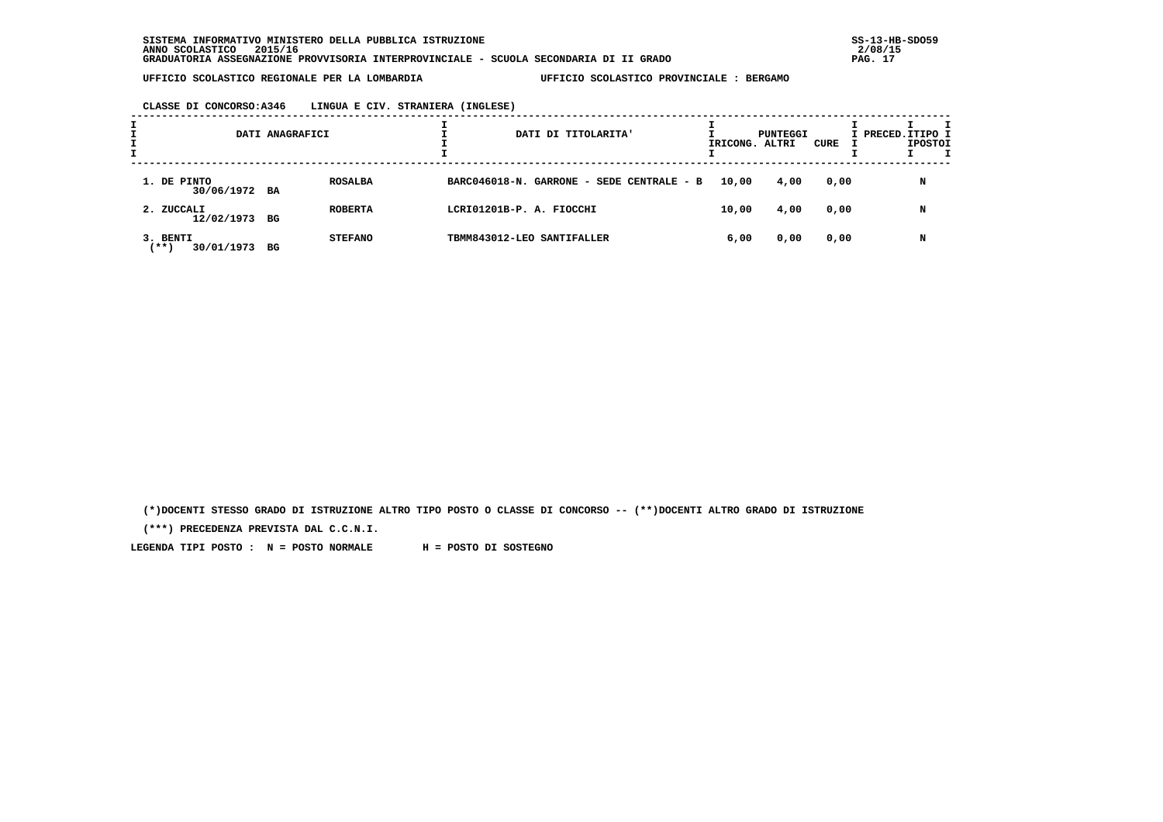| CLASSE DI CONCORSO:A346 | LINGUA E CIV. STRANIERA (INGLESE) |  |
|-------------------------|-----------------------------------|--|
|                         |                                   |  |

|                                   | DATI ANAGRAFICI |                |                                           | DATI DI TITOLARITA' |  | IRICONG. ALTRI | PUNTEGGI | CURE | I PRECED. ITIPO I | <b>IPOSTOI</b> |  |
|-----------------------------------|-----------------|----------------|-------------------------------------------|---------------------|--|----------------|----------|------|-------------------|----------------|--|
| 1. DE PINTO<br>30/06/1972 BA      |                 | <b>ROSALBA</b> | BARC046018-N. GARRONE - SEDE CENTRALE - B |                     |  | 10,00          | 4,00     | 0,00 |                   | N              |  |
| 2. ZUCCALI<br>12/02/1973 BG       |                 | <b>ROBERTA</b> | LCRI01201B-P. A. FIOCCHI                  |                     |  | 10,00          | 4,00     | 0,00 |                   | N              |  |
| 3. BENTI<br>$***$ )<br>30/01/1973 | BG              | <b>STEFANO</b> | TBMM843012-LEO SANTIFALLER                |                     |  | 6,00           | 0,00     | 0,00 |                   | N              |  |

 **(\*)DOCENTI STESSO GRADO DI ISTRUZIONE ALTRO TIPO POSTO O CLASSE DI CONCORSO -- (\*\*)DOCENTI ALTRO GRADO DI ISTRUZIONE**

 **(\*\*\*) PRECEDENZA PREVISTA DAL C.C.N.I.**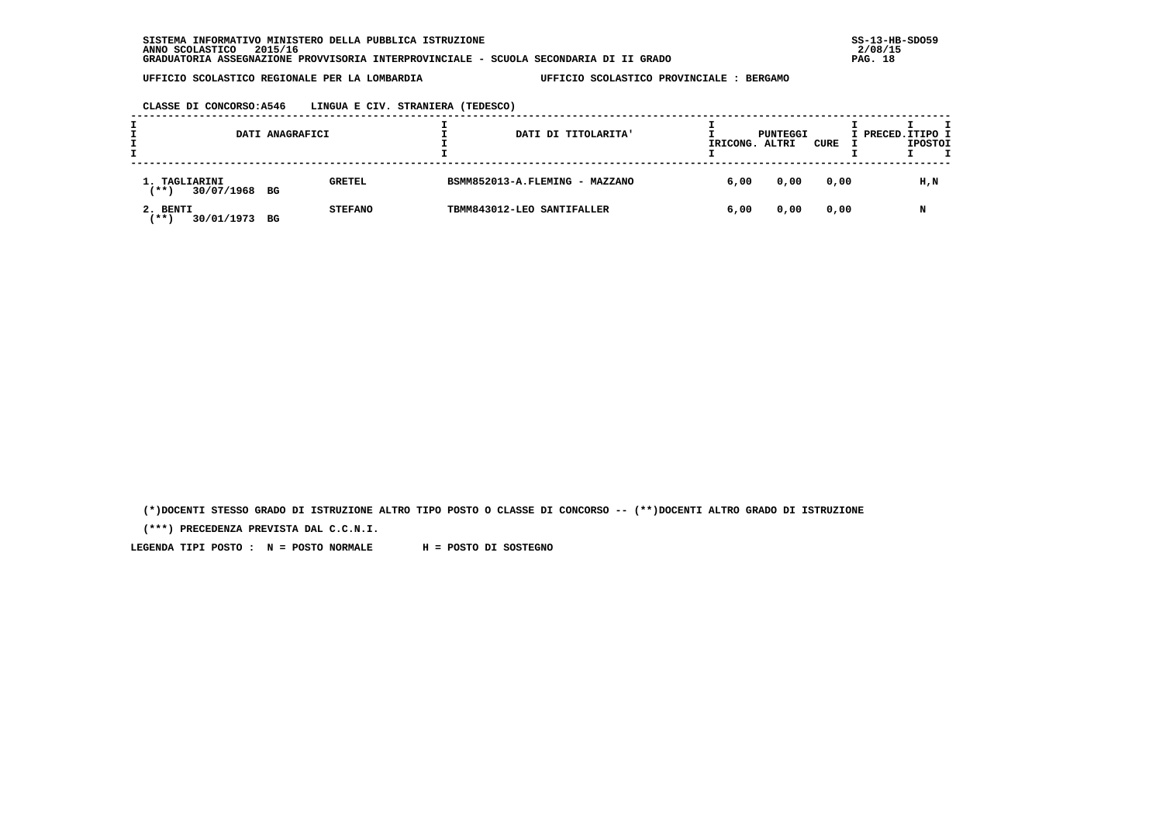**CLASSE DI CONCORSO:A546 LINGUA E CIV. STRANIERA (TEDESCO)**

|                                           | DATI ANAGRAFICI |                | DATI DI TITOLARITA'            | IRICONG. | PUNTEGGI<br>ALTRI | CURE | I PRECED.ITIPO I<br><b>IPOSTOI</b> |
|-------------------------------------------|-----------------|----------------|--------------------------------|----------|-------------------|------|------------------------------------|
| 1. TAGLIARINI<br>$***$ )<br>30/07/1968 BG |                 | <b>GRETEL</b>  | BSMM852013-A.FLEMING - MAZZANO | 6,00     | 0,00              | 0,00 | H,N                                |
| 2. BENTI<br>30/01/1973<br><b>***</b>      | BG              | <b>STEFANO</b> | TBMM843012-LEO SANTIFALLER     | 6,00     | 0,00              | 0,00 | N                                  |

 **(\*)DOCENTI STESSO GRADO DI ISTRUZIONE ALTRO TIPO POSTO O CLASSE DI CONCORSO -- (\*\*)DOCENTI ALTRO GRADO DI ISTRUZIONE**

 **(\*\*\*) PRECEDENZA PREVISTA DAL C.C.N.I.**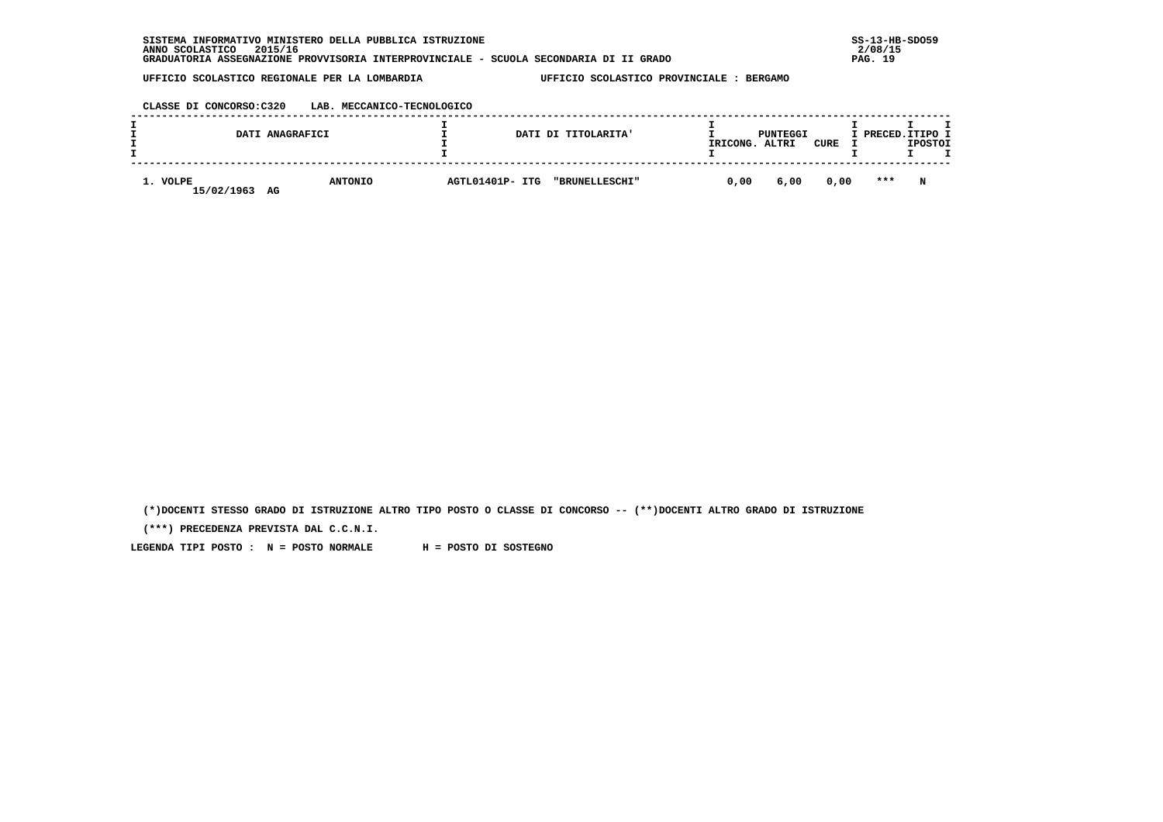| SISTEMA INFORMATIVO MINISTERO DELLA PUBBLICA ISTRUZIONE                               | $SS-13-HE$ |
|---------------------------------------------------------------------------------------|------------|
| 2015/16<br>ANNO SCOLASTICO                                                            | 2/08/15    |
| GRADUATORIA ASSEGNAZIONE PROVVISORIA INTERPROVINCIALE - SCUOLA SECONDARIA DI II GRADO | PAG. 19    |

 **CLASSE DI CONCORSO:C320 LAB. MECCANICO-TECNOLOGICO**

|                              | DATI ANAGRAFICI |                 | DATI DI TITOLARITA' | IRICONG. | PUNTEGGI<br>ALTRI | CURE | I PRECED. ITIPO I | <b>IPOSTOI</b> |  |
|------------------------------|-----------------|-----------------|---------------------|----------|-------------------|------|-------------------|----------------|--|
| 1. VOLPE<br>15/02/1963<br>AG | <b>ANTONIO</b>  | AGTL01401P- ITG | "BRUNELLESCHI"      | 0,00     | 6,00              | 0,00 | $* * *$           | N              |  |

 **(\*)DOCENTI STESSO GRADO DI ISTRUZIONE ALTRO TIPO POSTO O CLASSE DI CONCORSO -- (\*\*)DOCENTI ALTRO GRADO DI ISTRUZIONE**

 **(\*\*\*) PRECEDENZA PREVISTA DAL C.C.N.I.**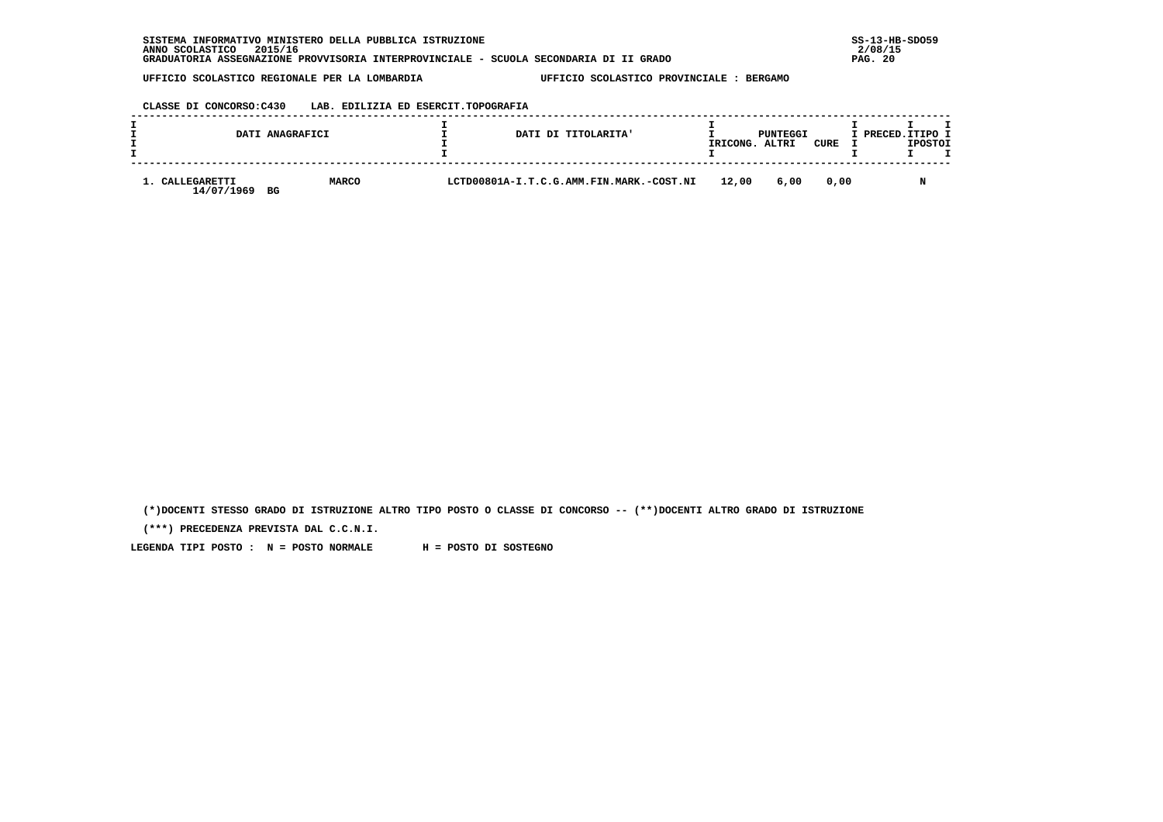| CLASSE DI CONCORSO:C430<br>LAB. EDILIZIA ED ESERCIT.TOPOGRAFIA |
|----------------------------------------------------------------|
|----------------------------------------------------------------|

|                            | DATI ANAGRAFICI    |                                          | DATI DI TITOLARITA' | IRICONG. | PUNTEGGI<br>ALTRI | CURE | I PRECED. ITIPO I | <b>IPOSTOI</b> |  |
|----------------------------|--------------------|------------------------------------------|---------------------|----------|-------------------|------|-------------------|----------------|--|
| CALLEGARETTI<br>14/07/1969 | <b>MARCO</b><br>BG | LCTD00801A-I.T.C.G.AMM.FIN.MARK.-COST.NI |                     | 12,00    | 6,00              | 0.00 |                   | <b>NT</b>      |  |

 **(\*)DOCENTI STESSO GRADO DI ISTRUZIONE ALTRO TIPO POSTO O CLASSE DI CONCORSO -- (\*\*)DOCENTI ALTRO GRADO DI ISTRUZIONE**

 **(\*\*\*) PRECEDENZA PREVISTA DAL C.C.N.I.**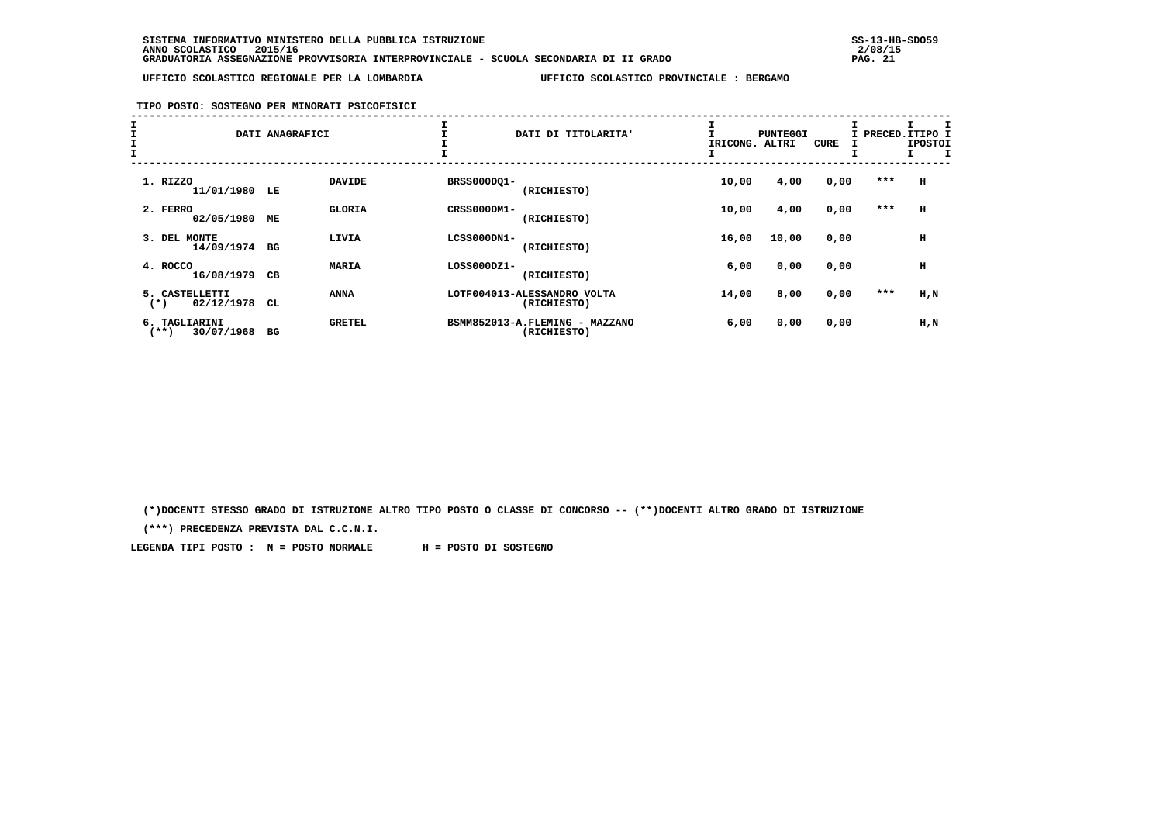### **TIPO POSTO: SOSTEGNO PER MINORATI PSICOFISICI**

| Ŧ<br>I<br>$\frac{1}{1}$ |                                       | DATI ANAGRAFICI |               |             | DATI DI TITOLARITA'                           | IRICONG. | <b>PUNTEGGI</b><br>ALTRI | <b>CURE</b> | I PRECED. ITIPO I | <b>IPOSTOI</b> |
|-------------------------|---------------------------------------|-----------------|---------------|-------------|-----------------------------------------------|----------|--------------------------|-------------|-------------------|----------------|
|                         | 1. RIZZO<br>11/01/1980                | LE              | <b>DAVIDE</b> | BRSS000DQ1- | (RICHIESTO)                                   | 10,00    | 4,00                     | 0,00        | ***               | н              |
|                         | 2. FERRO<br>02/05/1980                | МE              | <b>GLORIA</b> | CRSS000DM1- | (RICHIESTO)                                   | 10,00    | 4,00                     | 0,00        | $* * *$           | $\,$ H         |
|                         | <b>MONTE</b><br>3. DEL<br>14/09/1974  | BG              | LIVIA         | LCSS000DN1- | (RICHIESTO)                                   | 16,00    | 10,00                    | 0,00        |                   | н              |
|                         | 4. ROCCO<br>16/08/1979                | CВ              | <b>MARIA</b>  | LOSS000DZ1- | (RICHIESTO)                                   | 6,00     | 0,00                     | 0,00        |                   | н              |
|                         | 5. CASTELLETTI<br>02/12/1978<br>$(*)$ | CL              | <b>ANNA</b>   |             | LOTF004013-ALESSANDRO VOLTA<br>(RICHIESTO)    | 14,00    | 8,00                     | 0,00        | ***               | H, N           |
|                         | 6. TAGLIARINI<br>30/07/1968<br>(**)   | вG              | <b>GRETEL</b> |             | BSMM852013-A.FLEMING - MAZZANO<br>(RICHIESTO) | 6,00     | 0,00                     | 0,00        |                   | H,N            |

 **(\*)DOCENTI STESSO GRADO DI ISTRUZIONE ALTRO TIPO POSTO O CLASSE DI CONCORSO -- (\*\*)DOCENTI ALTRO GRADO DI ISTRUZIONE**

 **(\*\*\*) PRECEDENZA PREVISTA DAL C.C.N.I.**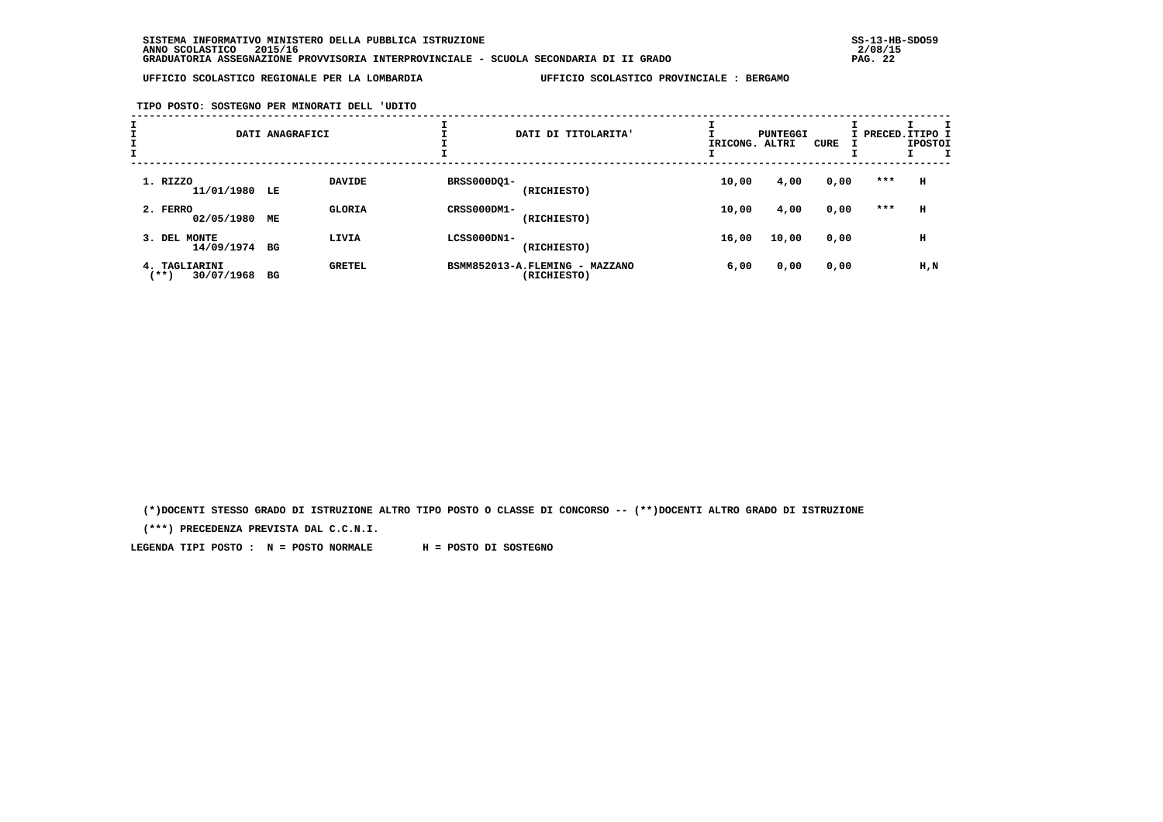**TIPO POSTO: SOSTEGNO PER MINORATI DELL 'UDITO**

|                                        | DATI ANAGRAFICI |               |             | DATI DI TITOLARITA'                           | IRICONG. ALTRI | PUNTEGGI | CURE |     | I PRECED. ITIPO I<br><b>IPOSTOI</b> |
|----------------------------------------|-----------------|---------------|-------------|-----------------------------------------------|----------------|----------|------|-----|-------------------------------------|
| 1. RIZZO<br>11/01/1980 LE              |                 | <b>DAVIDE</b> | BRSS000DQ1- | (RICHIESTO)                                   | 10,00          | 4,00     | 0,00 | *** | н                                   |
| 2. FERRO<br>02/05/1980                 | MЕ              | <b>GLORIA</b> | CRSS000DM1- | (RICHIESTO)                                   | 10,00          | 4,00     | 0,00 | *** | н                                   |
| <b>MONTE</b><br>3. DEL<br>14/09/1974   | BG              | LIVIA         | LCSS000DN1- | (RICHIESTO)                                   | 16,00          | 10,00    | 0,00 |     | н                                   |
| 4. TAGLIARINI<br>$***$ )<br>30/07/1968 | вG              | <b>GRETEL</b> |             | BSMM852013-A.FLEMING - MAZZANO<br>(RICHIESTO) | 6,00           | 0,00     | 0,00 |     | H,N                                 |

 **(\*)DOCENTI STESSO GRADO DI ISTRUZIONE ALTRO TIPO POSTO O CLASSE DI CONCORSO -- (\*\*)DOCENTI ALTRO GRADO DI ISTRUZIONE**

 **(\*\*\*) PRECEDENZA PREVISTA DAL C.C.N.I.**